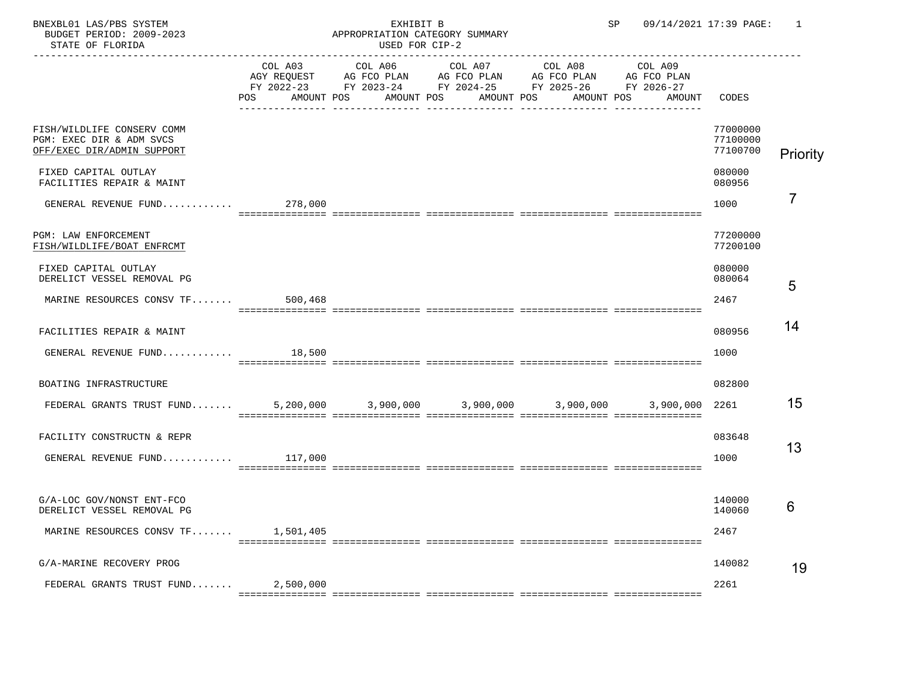STATE OF FLORIDA

## BNEXBL01 LAS/PBS SYSTEM CONTROL STRAIN SECTION SECTION SECTION PROPERT PERIOD: 2009-2023 CONTROPERT APPROPRIATION CATEGORY SUMMARY

APPROPRIATION CATEGORY SUMMARY<br>USED FOR CIP-2

|                                                                                            | COL A03        | COL A06 COL A07 COL A08 |                                                                                                                       | COL A09              |                                  |                |
|--------------------------------------------------------------------------------------------|----------------|-------------------------|-----------------------------------------------------------------------------------------------------------------------|----------------------|----------------------------------|----------------|
|                                                                                            |                |                         | AGY REQUEST AG FCO PLAN AG FCO PLAN AG FCO PLAN AG FCO PLAN<br>FY 2022-23 FY 2023-24 FY 2024-25 FY 2025-26 FY 2026-27 |                      |                                  |                |
|                                                                                            | POS AMOUNT POS | AMOUNT POS              | AMOUNT POS                                                                                                            | AMOUNT POS<br>AMOUNT | CODES                            |                |
| FISH/WILDLIFE CONSERV COMM<br>PGM: EXEC DIR & ADM SVCS<br>OFF/EXEC DIR/ADMIN SUPPORT       |                |                         |                                                                                                                       |                      | 77000000<br>77100000<br>77100700 | Priority       |
| FIXED CAPITAL OUTLAY<br>FACILITIES REPAIR & MAINT                                          |                |                         |                                                                                                                       |                      | 080000<br>080956                 |                |
| GENERAL REVENUE FUND                                                                       | 278,000        |                         |                                                                                                                       |                      | 1000                             | $\overline{7}$ |
| PGM: LAW ENFORCEMENT<br>FISH/WILDLIFE/BOAT ENFRCMT                                         |                |                         |                                                                                                                       |                      | 77200000<br>77200100             |                |
| FIXED CAPITAL OUTLAY<br>DERELICT VESSEL REMOVAL PG                                         |                |                         |                                                                                                                       |                      | 080000<br>080064                 | 5              |
| MARINE RESOURCES CONSV TF 500,468                                                          |                |                         |                                                                                                                       |                      | 2467                             |                |
| FACILITIES REPAIR & MAINT                                                                  |                |                         |                                                                                                                       |                      | 080956                           | 14             |
|                                                                                            |                |                         |                                                                                                                       |                      | 1000                             |                |
| BOATING INFRASTRUCTURE                                                                     |                |                         |                                                                                                                       |                      | 082800                           |                |
| FEDERAL GRANTS TRUST FUND 5,200,000 3,900,000 3,900,000 3,900,000 3,900,000 3,900,000 2261 |                |                         |                                                                                                                       |                      |                                  | 15             |
| FACILITY CONSTRUCTN & REPR                                                                 |                |                         |                                                                                                                       |                      | 083648                           | 13             |
| GENERAL REVENUE FUND $117,000$                                                             |                |                         |                                                                                                                       |                      | 1000                             |                |
|                                                                                            |                |                         |                                                                                                                       |                      |                                  |                |
| G/A-LOC GOV/NONST ENT-FCO<br>DERELICT VESSEL REMOVAL PG                                    |                |                         |                                                                                                                       |                      | 140000<br>140060                 | 6              |
| MARINE RESOURCES CONSV TF 1,501,405                                                        |                |                         |                                                                                                                       |                      | 2467                             |                |
| G/A-MARINE RECOVERY PROG                                                                   |                |                         |                                                                                                                       |                      | 140082                           | 19             |
| FEDERAL GRANTS TRUST FUND $2,500,000$                                                      |                |                         |                                                                                                                       |                      | 2261                             |                |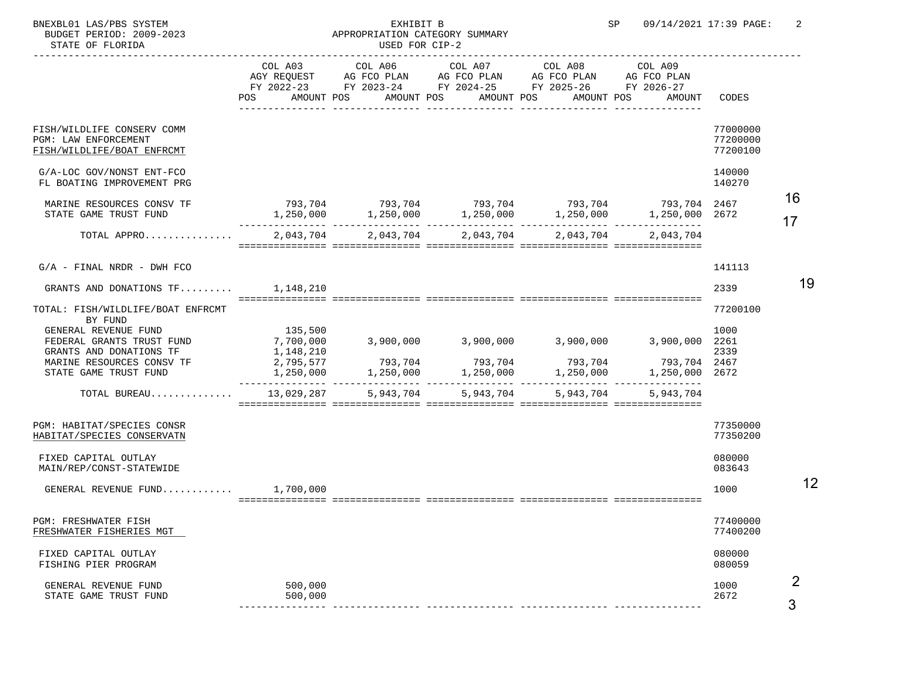STATE OF FLORIDA

## BNEXBL01 LAS/PBS SYSTEM EXHIBIT B SP 09/14/2021 17:39 PAGE: 2 APPROPRIATION CATEGORY SUMMARY<br>USED FOR CIP-2

|                                                                                                                                    | COL A03<br>POS                                                                  | AMOUNT POS<br>AMOUNT POS | COL A06 COL A07 COL A08<br>AMOUNT POS | AGY REQUEST AG FCO PLAN AG FCO PLAN AG FCO PLAN AG FCO PLAN<br>FY 2022-23 FY 2023-24 FY 2024-25 FY 2025-26 FY 2026-27<br>AMOUNT POS | COL A09<br>AMOUNT                                                                                                                                                      | CODES                            |          |
|------------------------------------------------------------------------------------------------------------------------------------|---------------------------------------------------------------------------------|--------------------------|---------------------------------------|-------------------------------------------------------------------------------------------------------------------------------------|------------------------------------------------------------------------------------------------------------------------------------------------------------------------|----------------------------------|----------|
| FISH/WILDLIFE CONSERV COMM<br>PGM: LAW ENFORCEMENT<br>FISH/WILDLIFE/BOAT ENFRCMT                                                   |                                                                                 |                          |                                       |                                                                                                                                     |                                                                                                                                                                        | 77000000<br>77200000<br>77200100 |          |
| G/A-LOC GOV/NONST ENT-FCO<br>FL BOATING IMPROVEMENT PRG                                                                            |                                                                                 |                          |                                       |                                                                                                                                     |                                                                                                                                                                        | 140000<br>140270                 |          |
| MARINE RESOURCES CONSV TF<br>STATE GAME TRUST FUND                                                                                 |                                                                                 | $1,250,000$ $1,250,000$  |                                       | 1,250,000 1,250,000                                                                                                                 | $793, 704$ $793, 704$ $793, 704$ $793, 704$ $793, 704$ $793, 704$ $793, 704$<br>1,250,000 2672                                                                         |                                  | 16<br>17 |
| TOTAL APPRO                                                                                                                        | 2,043,704                                                                       | 2,043,704                | 2,043,704                             | 2,043,704                                                                                                                           | 2,043,704                                                                                                                                                              |                                  |          |
| $G/A$ - FINAL NRDR - DWH FCO                                                                                                       |                                                                                 |                          |                                       |                                                                                                                                     |                                                                                                                                                                        | 141113<br>2339                   | 19       |
| GRANTS AND DONATIONS $TF$ 1,148,210<br>TOTAL: FISH/WILDLIFE/BOAT ENFRCMT<br>BY FUND                                                |                                                                                 |                          |                                       |                                                                                                                                     |                                                                                                                                                                        | 77200100                         |          |
| GENERAL REVENUE FUND<br>FEDERAL GRANTS TRUST FUND<br>GRANTS AND DONATIONS TF<br>MARINE RESOURCES CONSV TF<br>STATE GAME TRUST FUND | 135,500<br>7,700,000<br>1,148,210<br>2,795,577<br>1,250,000<br>________________ | 793,704<br>1,250,000     |                                       | $3,900,000$ $3,900,000$ $3,900,000$                                                                                                 | 3,900,000 2261<br>14<br>1,250,000<br>1,250,000<br>1,250,000<br>1,250,000<br>1,250,000<br>1,250,000<br>1,250,000<br>1,250,000<br>1,250,000<br>1,250,000<br>793,704 2467 | 1000<br>2339                     |          |
| TOTAL BUREAU                                                                                                                       | 13,029,287                                                                      | 5,943,704                | 5,943,704                             | 5,943,704                                                                                                                           | 5,943,704                                                                                                                                                              |                                  |          |
| PGM: HABITAT/SPECIES CONSR<br>HABITAT/SPECIES CONSERVATN                                                                           |                                                                                 |                          |                                       |                                                                                                                                     |                                                                                                                                                                        | 77350000<br>77350200             |          |
| FIXED CAPITAL OUTLAY<br>MAIN/REP/CONST-STATEWIDE                                                                                   |                                                                                 |                          |                                       |                                                                                                                                     |                                                                                                                                                                        | 080000<br>083643                 |          |
| GENERAL REVENUE FUND $1,700,000$                                                                                                   |                                                                                 |                          |                                       |                                                                                                                                     |                                                                                                                                                                        | 1000                             | 12       |
| PGM: FRESHWATER FISH<br>FRESHWATER FISHERIES MGT                                                                                   |                                                                                 |                          |                                       |                                                                                                                                     |                                                                                                                                                                        | 77400000<br>77400200             |          |
| FIXED CAPITAL OUTLAY<br>FISHING PIER PROGRAM                                                                                       |                                                                                 |                          |                                       |                                                                                                                                     |                                                                                                                                                                        | 080000<br>080059                 |          |
| GENERAL REVENUE FUND<br>STATE GAME TRUST FUND                                                                                      | 500,000<br>500,000                                                              |                          |                                       |                                                                                                                                     |                                                                                                                                                                        | 1000<br>2672                     | 2        |

--------------- --------------- --------------- --------------- ---------------

3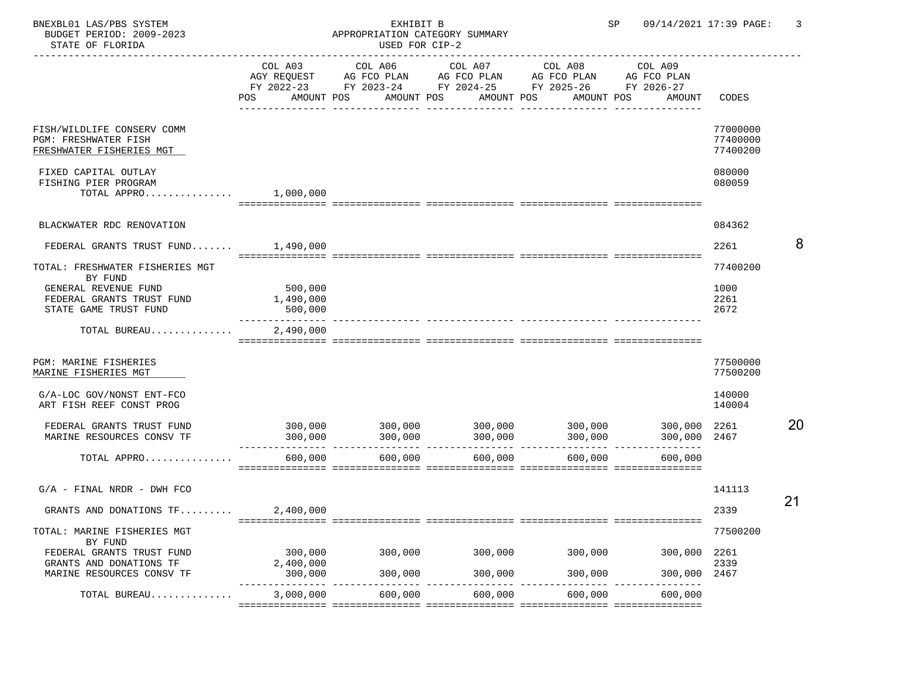## BNEXBL01 LAS/PBS SYSTEM EXHIBIT B SP 09/14/2021 17:39 PAGE: 3 APPROPRIATION CATEGORY SUMMARY<br>USED FOR CIP-2

|                                                                                | COL A03<br>POS                                      | AMOUNT POS AMOUNT POS | COL A06 COL A07 COL A08<br>AGY REQUEST AG FCO PLAN AG FCO PLAN AG FCO PLAN AG FCO PLAN<br>FY 2022-23 FY 2023-24 FY 2024-25 FY 2025-26 FY 2026-27<br>AMOUNT POS | AMOUNT POS | COL A09<br>AMOUNT                                                                                             | CODES                            |    |
|--------------------------------------------------------------------------------|-----------------------------------------------------|-----------------------|----------------------------------------------------------------------------------------------------------------------------------------------------------------|------------|---------------------------------------------------------------------------------------------------------------|----------------------------------|----|
| FISH/WILDLIFE CONSERV COMM<br>PGM: FRESHWATER FISH<br>FRESHWATER FISHERIES MGT |                                                     |                       |                                                                                                                                                                |            |                                                                                                               | 77000000<br>77400000<br>77400200 |    |
| FIXED CAPITAL OUTLAY<br>FISHING PIER PROGRAM<br>TOTAL APPRO $1,000,000$        |                                                     |                       |                                                                                                                                                                |            |                                                                                                               | 080000<br>080059                 |    |
| BLACKWATER RDC RENOVATION                                                      |                                                     |                       |                                                                                                                                                                |            |                                                                                                               | 084362                           |    |
| FEDERAL GRANTS TRUST FUND $1,490,000$                                          |                                                     |                       |                                                                                                                                                                |            |                                                                                                               | 2261                             |    |
| TOTAL: FRESHWATER FISHERIES MGT<br>BY FUND                                     |                                                     |                       |                                                                                                                                                                |            |                                                                                                               | 77400200                         |    |
| GENERAL REVENUE FUND<br>FEDERAL GRANTS TRUST FUND<br>STATE GAME TRUST FUND     | 500,000<br>1,490,000<br>500,000<br>________________ |                       |                                                                                                                                                                |            |                                                                                                               | 1000<br>2261<br>2672             |    |
| TOTAL BUREAU                                                                   | 2,490,000                                           |                       |                                                                                                                                                                |            |                                                                                                               |                                  |    |
| PGM: MARINE FISHERIES<br>MARINE FISHERIES MGT                                  |                                                     |                       |                                                                                                                                                                |            |                                                                                                               | 77500000<br>77500200             |    |
| G/A-LOC GOV/NONST ENT-FCO<br>ART FISH REEF CONST PROG                          |                                                     |                       |                                                                                                                                                                |            |                                                                                                               | 140000<br>140004                 |    |
| FEDERAL GRANTS TRUST FUND<br>MARINE RESOURCES CONSV TF                         | 300,000                                             | 300,000               | 300,000                                                                                                                                                        | 300,000    | $300,000$ $300,000$ $300,000$ $300,000$ $300,000$ $300,000$ $300,000$ $2261$<br>300,000 2467                  |                                  | 20 |
| TOTAL APPRO                                                                    | 600,000                                             | 600,000               | 600,000                                                                                                                                                        | 600,000    | 600,000                                                                                                       |                                  |    |
| $G/A$ - FINAL NRDR - DWH FCO                                                   |                                                     |                       |                                                                                                                                                                |            |                                                                                                               | 141113<br>21                     |    |
| GRANTS AND DONATIONS TF                                                        | 2,400,000                                           |                       |                                                                                                                                                                |            |                                                                                                               | 2339                             |    |
| TOTAL: MARINE FISHERIES MGT<br>BY FUND                                         |                                                     |                       |                                                                                                                                                                |            |                                                                                                               | 77500200                         |    |
| FEDERAL GRANTS TRUST FUND<br>GRANTS AND DONATIONS TF                           | 300,000<br>2,400,000                                |                       | 300,000 300,000 300,000 300,000                                                                                                                                |            | 300,000 2261                                                                                                  | 2339                             |    |
| MARINE RESOURCES CONSV TF                                                      |                                                     |                       |                                                                                                                                                                |            | $300,000$ 300,000 $300,000$ 300,000 $300,000$ $300,000$ $300,000$ $300,000$ $300,000$<br>300,000 300,000 2467 |                                  |    |
| TOTAL BUREAU                                                                   | 3,000,000                                           | 600,000               | 600,000                                                                                                                                                        | 600,000    | 600,000                                                                                                       |                                  |    |